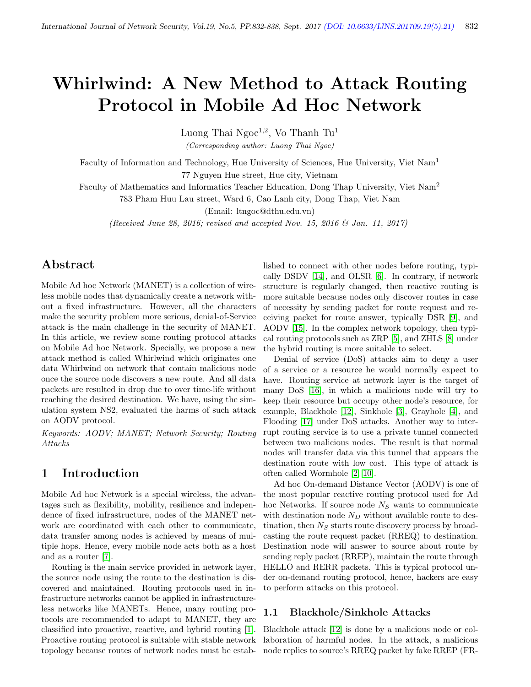# Whirlwind: A New Method to Attack Routing Protocol in Mobile Ad Hoc Network

Luong Thai  $Ngoc^{1,2}$ , Vo Thanh Tu<sup>1</sup>

(Corresponding author: Luong Thai Ngoc)

Faculty of Information and Technology, Hue University of Sciences, Hue University, Viet Nam<sup>1</sup> 77 Nguyen Hue street, Hue city, Vietnam

Faculty of Mathematics and Informatics Teacher Education, Dong Thap University, Viet Nam<sup>2</sup>

783 Pham Huu Lau street, Ward 6, Cao Lanh city, Dong Thap, Viet Nam

(Email: ltngoc@dthu.edu.vn)

(Received June 28, 2016; revised and accepted Nov. 15, 2016 & Jan. 11, 2017)

# Abstract

Mobile Ad hoc Network (MANET) is a collection of wireless mobile nodes that dynamically create a network without a fixed infrastructure. However, all the characters make the security problem more serious, denial-of-Service attack is the main challenge in the security of MANET. In this article, we review some routing protocol attacks on Mobile Ad hoc Network. Specially, we propose a new attack method is called Whirlwind which originates one data Whirlwind on network that contain malicious node once the source node discovers a new route. And all data packets are resulted in drop due to over time-life without reaching the desired destination. We have, using the simulation system NS2, evaluated the harms of such attack on AODV protocol.

Keywords: AODV; MANET; Network Security; Routing Attacks

# 1 Introduction

Mobile Ad hoc Network is a special wireless, the advantages such as flexibility, mobility, resilience and independence of fixed infrastructure, nodes of the MANET network are coordinated with each other to communicate, data transfer among nodes is achieved by means of multiple hops. Hence, every mobile node acts both as a host and as a router [\[7\]](#page-5-0).

Routing is the main service provided in network layer, the source node using the route to the destination is discovered and maintained. Routing protocols used in infrastructure networks cannot be applied in infrastructureless networks like MANETs. Hence, many routing protocols are recommended to adapt to MANET, they are classified into proactive, reactive, and hybrid routing [\[1\]](#page-5-1). Proactive routing protocol is suitable with stable network topology because routes of network nodes must be established to connect with other nodes before routing, typically DSDV [\[14\]](#page-6-0), and OLSR [\[6\]](#page-5-2). In contrary, if network structure is regularly changed, then reactive routing is more suitable because nodes only discover routes in case of necessity by sending packet for route request and receiving packet for route answer, typically DSR [\[9\]](#page-5-3), and AODV [\[15\]](#page-6-1). In the complex network topology, then typical routing protocols such as ZRP [\[5\]](#page-5-4), and ZHLS [\[8\]](#page-5-5) under the hybrid routing is more suitable to select.

Denial of service (DoS) attacks aim to deny a user of a service or a resource he would normally expect to have. Routing service at network layer is the target of many DoS [\[16\]](#page-6-2), in which a malicious node will try to keep their resource but occupy other node's resource, for example, Blackhole [\[12\]](#page-5-6), Sinkhole [\[3\]](#page-5-7), Grayhole [\[4\]](#page-5-8), and Flooding [\[17\]](#page-6-3) under DoS attacks. Another way to interrupt routing service is to use a private tunnel connected between two malicious nodes. The result is that normal nodes will transfer data via this tunnel that appears the destination route with low cost. This type of attack is often called Wormhole [\[2,](#page-5-9) [10\]](#page-5-10).

Ad hoc On-demand Distance Vector (AODV) is one of the most popular reactive routing protocol used for Ad hoc Networks. If source node  $N_S$  wants to communicate with destination node  $N_D$  without available route to destination, then  $N<sub>S</sub>$  starts route discovery process by broadcasting the route request packet (RREQ) to destination. Destination node will answer to source about route by sending reply packet (RREP), maintain the route through HELLO and RERR packets. This is typical protocol under on-demand routing protocol, hence, hackers are easy to perform attacks on this protocol.

### 1.1 Blackhole/Sinkhole Attacks

Blackhole attack [\[12\]](#page-5-6) is done by a malicious node or collaboration of harmful nodes. In the attack, a malicious node replies to source's RREQ packet by fake RREP (FR-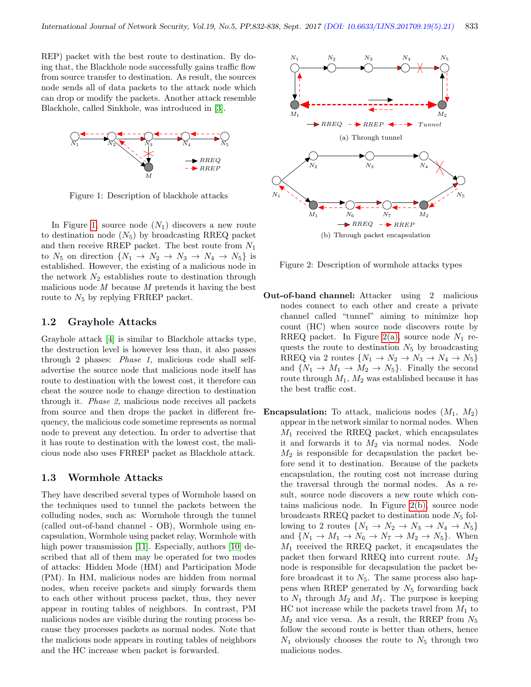REP) packet with the best route to destination. By doing that, the Blackhole node successfully gains traffic flow from source transfer to destination. As result, the sources node sends all of data packets to the attack node which can drop or modify the packets. Another attack resemble Blackhole, called Sinkhole, was introduced in [\[3\]](#page-5-7).



<span id="page-1-0"></span>Figure 1: Description of blackhole attacks

In Figure [1,](#page-1-0) source node  $(N_1)$  discovers a new route to destination node  $(N_5)$  by broadcasting RREQ packet and then receive RREP packet. The best route from  $N_1$ to  $N_5$  on direction  $\{N_1 \rightarrow N_2 \rightarrow N_3 \rightarrow N_4 \rightarrow N_5\}$  is established. However, the existing of a malicious node in the network  $N_2$  establishes route to destination through malicious node  $M$  because  $M$  pretends it having the best route to  $N_5$  by replying FRREP packet.

#### 1.2 Grayhole Attacks

Grayhole attack [\[4\]](#page-5-8) is similar to Blackhole attacks type, the destruction level is however less than, it also passes through 2 phases: Phase 1, malicious code shall selfadvertise the source node that malicious node itself has route to destination with the lowest cost, it therefore can cheat the source node to change direction to destination through it. Phase 2, malicious node receives all packets from source and then drops the packet in different frequency, the malicious code sometime represents as normal node to prevent any detection. In order to advertise that it has route to destination with the lowest cost, the malicious node also uses FRREP packet as Blackhole attack.

#### 1.3 Wormhole Attacks

They have described several types of Wormhole based on the techniques used to tunnel the packets between the colluding nodes, such as: Wormhole through the tunnel (called out-of-band channel - OB), Wormhole using encapsulation, Wormhole using packet relay, Wormhole with high power transmission [\[11\]](#page-5-11). Especially, authors [\[10\]](#page-5-10) described that all of them may be operated for two modes of attacks: Hidden Mode (HM) and Participation Mode (PM). In HM, malicious nodes are hidden from normal nodes, when receive packets and simply forwards them to each other without process packet, thus, they never appear in routing tables of neighbors. In contrast, PM malicious nodes are visible during the routing process because they processes packets as normal nodes. Note that the malicious node appears in routing tables of neighbors and the HC increase when packet is forwarded.

<span id="page-1-1"></span>

<span id="page-1-2"></span>Figure 2: Description of wormhole attacks types

- Out-of-band channel: Attacker using 2 malicious nodes connect to each other and create a private channel called "tunnel" aiming to minimize hop count (HC) when source node discovers route by RREQ packet. In Figure [2\(a\),](#page-1-1) source node  $N_1$  requests the route to destination  $N_5$  by broadcasting RREQ via 2 routes  $\{N_1 \rightarrow N_2 \rightarrow N_3 \rightarrow N_4 \rightarrow N_5\}$ and  $\{N_1 \rightarrow M_1 \rightarrow M_2 \rightarrow N_5\}$ . Finally the second route through  $M_1$ ,  $M_2$  was established because it has the best traffic cost.
- **Encapsulation:** To attack, malicious nodes  $(M_1, M_2)$ appear in the network similar to normal nodes. When  $M_1$  received the RREQ packet, which encapsulates it and forwards it to  $M_2$  via normal nodes. Node  $M_2$  is responsible for decapsulation the packet before send it to destination. Because of the packets encapsulation, the routing cost not increase during the traversal through the normal nodes. As a result, source node discovers a new route which contains malicious node. In Figure [2\(b\),](#page-1-2) source node broadcasts RREQ packet to destination node  $N_5$  following to 2 routes  $\{N_1 \rightarrow N_2 \rightarrow N_3 \rightarrow N_4 \rightarrow N_5\}$ and  $\{N_1 \rightarrow M_1 \rightarrow N_6 \rightarrow N_7 \rightarrow M_2 \rightarrow N_5\}$ . When  $M_1$  received the RREQ packet, it encapsulates the packet then forward RREQ into current route.  $M_2$ node is responsible for decapsulation the packet before broadcast it to  $N_5$ . The same process also happens when RREP generated by  $N_5$  forwarding back to  $N_1$  through  $M_2$  and  $M_1$ . The purpose is keeping  $HC$  not increase while the packets travel from  $M_1$  to  $M_2$  and vice versa. As a result, the RREP from  $N_5$ follow the second route is better than others, hence  $N_1$  obviously chooses the route to  $N_5$  through two malicious nodes.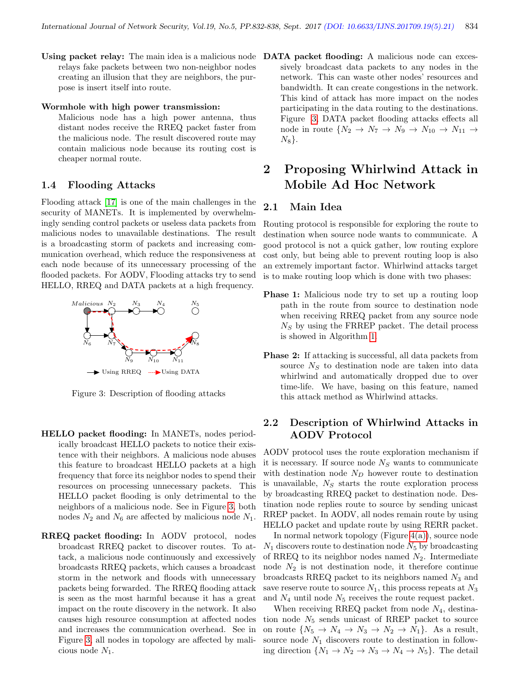Using packet relay: The main idea is a malicious node DATA packet flooding: A malicious node can excesrelays fake packets between two non-neighbor nodes creating an illusion that they are neighbors, the purpose is insert itself into route.

#### Wormhole with high power transmission:

Malicious node has a high power antenna, thus distant nodes receive the RREQ packet faster from the malicious node. The result discovered route may contain malicious node because its routing cost is cheaper normal route.

#### 1.4 Flooding Attacks

Flooding attack [\[17\]](#page-6-3) is one of the main challenges in the security of MANETs. It is implemented by overwhelmingly sending control packets or useless data packets from malicious nodes to unavailable destinations. The result is a broadcasting storm of packets and increasing communication overhead, which reduce the responsiveness at each node because of its unnecessary processing of the flooded packets. For AODV, Flooding attacks try to send HELLO, RREQ and DATA packets at a high frequency.



<span id="page-2-0"></span>

Figure 3: Description of flooding attacks

- HELLO packet flooding: In MANETs, nodes periodically broadcast HELLO packets to notice their existence with their neighbors. A malicious node abuses this feature to broadcast HELLO packets at a high frequency that force its neighbor nodes to spend their resources on processing unnecessary packets. This HELLO packet flooding is only detrimental to the neighbors of a malicious node. See in Figure [3,](#page-2-0) both nodes  $N_2$  and  $N_6$  are affected by malicious node  $N_1$ .
- RREQ packet flooding: In AODV protocol, nodes broadcast RREQ packet to discover routes. To attack, a malicious node continuously and excessively broadcasts RREQ packets, which causes a broadcast storm in the network and floods with unnecessary packets being forwarded. The RREQ flooding attack is seen as the most harmful because it has a great impact on the route discovery in the network. It also causes high resource consumption at affected nodes and increases the communication overhead. See in Figure [3,](#page-2-0) all nodes in topology are affected by malicious node  $N_1$ .

sively broadcast data packets to any nodes in the network. This can waste other nodes' resources and bandwidth. It can create congestions in the network. This kind of attack has more impact on the nodes participating in the data routing to the destinations. Figure [3,](#page-2-0) DATA packet flooding attacks effects all node in route  $\{N_2 \rightarrow N_7 \rightarrow N_9 \rightarrow N_{10} \rightarrow N_{11} \rightarrow$  $N_8$ .

# 2 Proposing Whirlwind Attack in Mobile Ad Hoc Network

## 2.1 Main Idea

Routing protocol is responsible for exploring the route to destination when source node wants to communicate. A good protocol is not a quick gather, low routing explore cost only, but being able to prevent routing loop is also an extremely important factor. Whirlwind attacks target is to make routing loop which is done with two phases:

- **Phase 1:** Malicious node try to set up a routing loop path in the route from source to destination node when receiving RREQ packet from any source node  $N<sub>S</sub>$  by using the FRREP packet. The detail process is showed in Algorithm [1.](#page-3-0)
- **Phase 2:** If attacking is successful, all data packets from source  $N<sub>S</sub>$  to destination node are taken into data whirlwind and automatically dropped due to over time-life. We have, basing on this feature, named this attack method as Whirlwind attacks.

## 2.2 Description of Whirlwind Attacks in AODV Protocol

AODV protocol uses the route exploration mechanism if it is necessary. If source node  $N<sub>S</sub>$  wants to communicate with destination node  $N_D$  however route to destination is unavailable,  $N<sub>S</sub>$  starts the route exploration process by broadcasting RREQ packet to destination node. Destination node replies route to source by sending unicast RREP packet. In AODV, all nodes remain route by using HELLO packet and update route by using RERR packet.

In normal network topology (Figure  $4(a)$ ), source node  $N_1$  discovers route to destination node  $N_5$  by broadcasting of RREQ to its neighbor nodes named  $N_2$ . Intermediate node  $N_2$  is not destination node, it therefore continue broadcasts RREQ packet to its neighbors named  $N_3$  and save reserve route to source  $N_1$ , this process repeats at  $N_3$ and  $N_4$  until node  $N_5$  receives the route request packet.

When receiving RREQ packet from node  $N_4$ , destination node  $N_5$  sends unicast of RREP packet to source on route  $\{N_5 \to N_4 \to N_3 \to N_2 \to N_1\}$ . As a result, source node  $N_1$  discovers route to destination in following direction  $\{N_1 \rightarrow N_2 \rightarrow N_3 \rightarrow N_4 \rightarrow N_5\}$ . The detail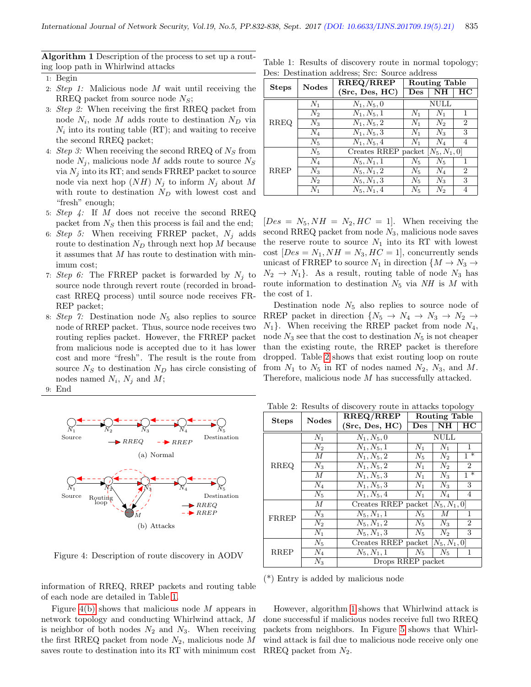<span id="page-3-0"></span>Algorithm 1 Description of the process to set up a routing loop path in Whirlwind attacks

- 1: Begin
- 2: Step 1: Malicious node M wait until receiving the RREQ packet from source node  $N_S$ ;
- 3: Step 2: When receiving the first RREQ packet from node  $N_i$ , node M adds route to destination  $N_D$  via  $N_i$  into its routing table (RT); and waiting to receive the second RREQ packet;
- 4: Step 3: When receiving the second RREQ of  $N<sub>S</sub>$  from node  $N_j$ , malicious node M adds route to source  $N_S$ via  $N_j$  into its RT; and sends FRREP packet to source node via next hop  $(NH)$   $N_i$  to inform  $N_i$  about M with route to destination  $N_D$  with lowest cost and "fresh" enough;
- 5:  $Step 4$ : If M does not receive the second RREQ packet from  $N<sub>S</sub>$  then this process is fail and the end;
- 6: Step 5: When receiving FRREP packet,  $N_i$  adds route to destination  $N_D$  through next hop M because it assumes that M has route to destination with minimum cost;
- 7: Step 6: The FRREP packet is forwarded by  $N_j$  to source node through revert route (recorded in broadcast RREQ process) until source node receives FR-REP packet;
- 8: Step 7: Destination node  $N_5$  also replies to source node of RREP packet. Thus, source node receives two routing replies packet. However, the FRREP packet from malicious node is accepted due to it has lower cost and more "fresh". The result is the route from source  $N_S$  to destination  $N_D$  has circle consisting of nodes named  $N_i$ ,  $N_j$  and  $M$ ;
- 9: End

<span id="page-3-1"></span>

<span id="page-3-5"></span><span id="page-3-3"></span>Figure 4: Description of route discovery in AODV

information of RREQ, RREP packets and routing table of each node are detailed in Table [1.](#page-3-2)

Figure [4\(b\)](#page-3-3) shows that malicious node  $M$  appears in network topology and conducting Whirlwind attack, M is neighbor of both nodes  $N_2$  and  $N_3$ . When receiving the first RREQ packet from node  $N_2$ , malicious node M saves route to destination into its RT with minimum cost

<span id="page-3-2"></span>

|  |                                               |  |  | Table 1: Results of discovery route in normal topology; |
|--|-----------------------------------------------|--|--|---------------------------------------------------------|
|  | Des: Destination address; Src: Source address |  |  |                                                         |

|              | <b>Nodes</b> | RREQ/RREP                           | Routing Table  |         |                |  |
|--------------|--------------|-------------------------------------|----------------|---------|----------------|--|
| <b>Steps</b> |              | (Src, Des, HC)                      | $\mathbf{Des}$ | NH      | ΗС             |  |
|              | $N_1$        | $N_1, N_5, 0$                       | NULL           |         |                |  |
|              | $N_2$        | $N_1, N_5, 1$                       | $N_1$          | $N_1$   | 1              |  |
| <b>RREQ</b>  | $N_3$        | $N_1, N_5, 2$                       | $N_1$          | $N_2$   | $\overline{2}$ |  |
|              | $N_4$        | $\overline{N_1,N_5,3}$              | $N_1$          | $N_3$   | 3              |  |
|              | $N_5$        | $N_1, N_5, 4$                       | $N_1$          | $N_{4}$ | 4              |  |
|              | $N_5$        | Creates RREP packet $[N_5, N_1, 0]$ |                |         |                |  |
|              | $N_4$        | $N_5, N_1, 1$                       | $N_5$          | $N_5$   | 1              |  |
| <b>RREP</b>  | $N_3$        | $N_5, N_1, 2$                       | $N_5$          | $N_4$   | $\overline{2}$ |  |
|              | $N_2$        | $N_5, N_1, 3$                       | $N_5$          | $N_3$   | 3              |  |
|              | $N_1$        | $N_5, N_1, 4$                       | $N_5$          | $N_2$   | 4              |  |

 $[Des = N_5, NH = N_2, HC = 1].$  When receiving the second RREQ packet from node  $N_3$ , malicious node saves the reserve route to source  $N_1$  into its RT with lowest cost  $[Des = N_1, NH = N_3, HC = 1]$ , concurrently sends unicast of FRREP to source  $N_1$  in direction  $\{M \to N_3 \to$  $N_2 \rightarrow N_1$ . As a result, routing table of node  $N_3$  has route information to destination  $N_5$  via NH is M with the cost of 1.

Destination node  $N_5$  also replies to source node of RREP packet in direction  $\{N_5 \to N_4 \to N_3 \to N_2 \to N_4\}$  $N_1$ . When receiving the RREP packet from node  $N_4$ , node  $N_3$  see that the cost to destination  $N_5$  is not cheaper than the existing route, the RREP packet is therefore dropped. Table [2](#page-3-4) shows that exist routing loop on route from  $N_1$  to  $N_5$  in RT of nodes named  $N_2$ ,  $N_3$ , and M. Therefore, malicious node M has successfully attacked.

<span id="page-3-4"></span>Table 2: Results of discovery route in attacks topology

| <b>Steps</b> | <b>Nodes</b>     | RREQ/RREP                           | <b>Routing Table</b>    |                |                |  |
|--------------|------------------|-------------------------------------|-------------------------|----------------|----------------|--|
|              |                  | (Src, Des, HC)                      | $\mathop{\mathrm{Des}}$ | NH             | HС             |  |
|              | $N_1$            | $N_1, N_5, 0$                       | <b>NULL</b>             |                |                |  |
|              | $N_2$            | $N_1, N_5, 1$                       | $N_1$                   | $N_1$          | $\mathbf{1}$   |  |
|              | $\overline{M}$   | $N_1, N_5, 2$                       | $N_5$                   | $N_2$          | $1 *$          |  |
| <b>RREQ</b>  | $N_3$            | $N_1, N_5, 2$                       | $N_1$                   | $N_2$          | $\overline{2}$ |  |
|              | $\boldsymbol{M}$ | $N_1, N_5, 3$                       | $N_1$                   | $N_3$          | $1^*$          |  |
|              | $N_4$            | $N_1, N_5, 3$                       | $N_1$                   | $N_3$          | 3              |  |
|              | $N_5$            | $N_1, N_5, 4$                       | $N_1$                   | $N_{4}$        | 4              |  |
|              | М                | Creates RREP packet $[N_5, N_1, 0]$ |                         |                |                |  |
| FRREP        | $N_3$            | $N_5, N_1, 1$                       | $N_5$                   | $\overline{M}$ | 1              |  |
|              | $N_2$            | $N_5, N_1, 2$                       | $N_5$                   | $N_3$          | $\overline{2}$ |  |
|              | $\overline{N}_1$ | $N_5, N_1, 3$                       | $N_5$                   | $N_2$          | 3              |  |
|              | $N_5$            | Creates RREP packet $[N_5, N_1, 0]$ |                         |                |                |  |
| <b>RREP</b>  | $N_4$            | $N_5, N_1, 1$                       | $N_5$                   | $N_5$          | 1              |  |
|              | $N_3$            | Drops RREP packet                   |                         |                |                |  |

(\*) Entry is added by malicious node

However, algorithm [1](#page-3-0) shows that Whirlwind attack is done successful if malicious nodes receive full two RREQ packets from neighbors. In Figure [5](#page-4-0) shows that Whirlwind attack is fail due to malicious node receive only one RREQ packet from  $N_2$ .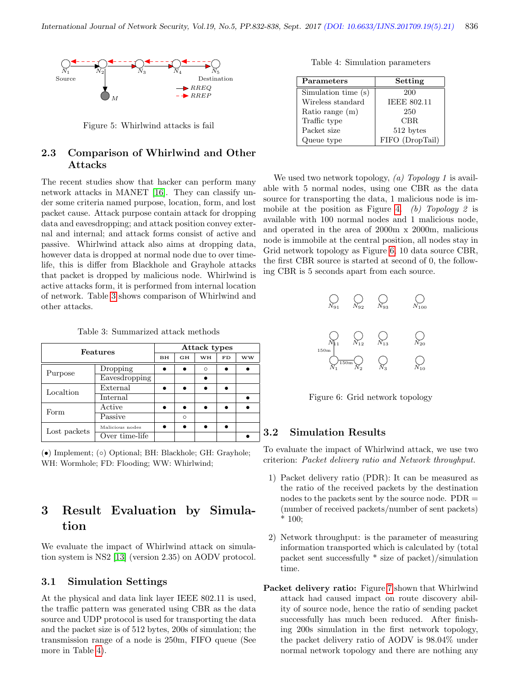

<span id="page-4-0"></span>Figure 5: Whirlwind attacks is fail

## 2.3 Comparison of Whirlwind and Other Attacks

The recent studies show that hacker can perform many network attacks in MANET [\[16\]](#page-6-2). They can classify under some criteria named purpose, location, form, and lost packet cause. Attack purpose contain attack for dropping data and eavesdropping; and attack position convey external and internal; and attack forms consist of active and passive. Whirlwind attack also aims at dropping data, however data is dropped at normal node due to over timelife, this is differ from Blackhole and Grayhole attacks that packet is dropped by malicious node. Whirlwind is active attacks form, it is performed from internal location of network. Table [3](#page-4-1) shows comparison of Whirlwind and other attacks.

<span id="page-4-1"></span>

|  | Table 3: Summarized attack methods |  |  |
|--|------------------------------------|--|--|
|--|------------------------------------|--|--|

| Features     |                 |  | Attack types |         |    |    |  |  |
|--------------|-----------------|--|--------------|---------|----|----|--|--|
|              |                 |  | GH           | WH      | FD | ww |  |  |
|              | Dropping        |  |              | $\circ$ |    |    |  |  |
| Purpose      | Eavesdropping   |  |              |         |    |    |  |  |
| Localtion    | External        |  |              |         |    |    |  |  |
|              | Internal        |  |              |         |    |    |  |  |
| Form         | Active          |  |              |         |    |    |  |  |
|              | Passive         |  | $\circ$      |         |    |    |  |  |
|              | Malicious nodes |  |              |         |    |    |  |  |
| Lost packets | Over time-life  |  |              |         |    |    |  |  |

(•) Implement; (◦) Optional; BH: Blackhole; GH: Grayhole; WH: Wormhole; FD: Flooding; WW: Whirlwind;

# 3 Result Evaluation by Simulation

We evaluate the impact of Whirlwind attack on simulation system is NS2 [\[13\]](#page-5-12) (version 2.35) on AODV protocol.

## 3.1 Simulation Settings

At the physical and data link layer IEEE 802.11 is used, the traffic pattern was generated using CBR as the data source and UDP protocol is used for transporting the data and the packet size is of 512 bytes, 200s of simulation; the transmission range of a node is 250m, FIFO queue (See more in Table [4\)](#page-4-2).

<span id="page-4-2"></span>Table 4: Simulation parameters

| Parameters          | Setting            |  |  |  |
|---------------------|--------------------|--|--|--|
| Simulation time (s) | 200                |  |  |  |
| Wireless standard   | <b>IEEE 802.11</b> |  |  |  |
| Ratio range (m)     | 250                |  |  |  |
| Traffic type        | CBR                |  |  |  |
| Packet size         | 512 bytes          |  |  |  |
| Queue type          | FIFO (DropTail)    |  |  |  |

We used two network topology,  $(a)$  Topology 1 is available with 5 normal nodes, using one CBR as the data source for transporting the data, 1 malicious node is im-mobile at the position as Figure [4.](#page-3-5) (b) Topology 2 is available with 100 normal nodes and 1 malicious node, and operated in the area of 2000m x 2000m, malicious node is immobile at the central position, all nodes stay in Grid network topology as Figure [6,](#page-4-3) 10 data source CBR, the first CBR source is started at second of 0, the following CBR is 5 seconds apart from each source.



<span id="page-4-3"></span>Figure 6: Grid network topology

## 3.2 Simulation Results

To evaluate the impact of Whirlwind attack, we use two criterion: Packet delivery ratio and Network throughput.

- 1) Packet delivery ratio (PDR): It can be measured as the ratio of the received packets by the destination nodes to the packets sent by the source node. PDR = (number of received packets/number of sent packets) \* 100;
- 2) Network throughput: is the parameter of measuring information transported which is calculated by (total packet sent successfully \* size of packet)/simulation time.
- Packet delivery ratio: Figure [7](#page-5-13) shown that Whirlwind attack had caused impact on route discovery ability of source node, hence the ratio of sending packet successfully has much been reduced. After finishing 200s simulation in the first network topology, the packet delivery ratio of AODV is 98.04% under normal network topology and there are nothing any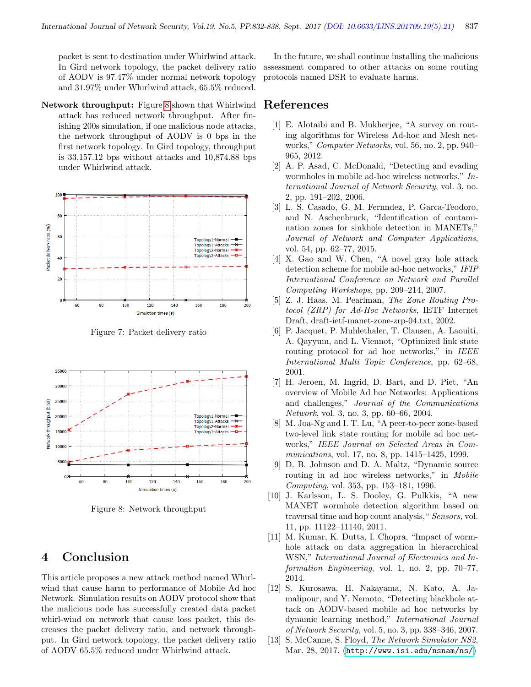packet is sent to destination under Whirlwind attack. In Gird network topology, the packet delivery ratio of AODV is 97.47% under normal network topology and 31.97% under Whirlwind attack, 65.5% reduced.

Network throughput: Figure [8](#page-5-14) shown that Whirlwind attack has reduced network throughput. After finishing 200s simulation, if one malicious node attacks, the network throughput of AODV is 0 bps in the first network topology. In Gird topology, throughput is 33,157.12 bps without attacks and 10,874.88 bps under Whirlwind attack.



<span id="page-5-13"></span>Figure 7: Packet delivery ratio



<span id="page-5-14"></span>Figure 8: Network throughput

# 4 Conclusion

This article proposes a new attack method named Whirlwind that cause harm to performance of Mobile Ad hoc Network. Simulation results on AODV protocol show that the malicious node has successfully created data packet whirl-wind on network that cause loss packet, this decreases the packet delivery ratio, and network throughput. In Gird network topology, the packet delivery ratio of AODV 65.5% reduced under Whirlwind attack.

In the future, we shall continue installing the malicious assessment compared to other attacks on some routing protocols named DSR to evaluate harms.

# References

- <span id="page-5-1"></span>[1] E. Alotaibi and B. Mukherjee, "A survey on routing algorithms for Wireless Ad-hoc and Mesh networks," Computer Networks, vol. 56, no. 2, pp. 940– 965, 2012.
- <span id="page-5-9"></span>[2] A. P. Asad, C. McDonald, "Detecting and evading wormholes in mobile ad-hoc wireless networks," International Journal of Network Security, vol. 3, no. 2, pp. 191–202, 2006.
- <span id="page-5-7"></span>[3] L. S. Casado, G. M. Fernndez, P. Garca-Teodoro, and N. Aschenbruck, "Identification of contamination zones for sinkhole detection in MANETs," Journal of Network and Computer Applications, vol. 54, pp. 62–77, 2015.
- <span id="page-5-8"></span>[4] X. Gao and W. Chen, "A novel gray hole attack detection scheme for mobile ad-hoc networks," IFIP International Conference on Network and Parallel Computing Workshops, pp. 209–214, 2007.
- <span id="page-5-4"></span>[5] Z. J. Haas, M. Pearlman, The Zone Routing Protocol (ZRP) for Ad-Hoc Networks, IETF Internet Draft, draft-ietf-manet-zone-zrp-04.txt, 2002.
- <span id="page-5-2"></span>[6] P. Jacquet, P. Muhlethaler, T. Clausen, A. Laouiti, A. Qayyum, and L. Viennot, "Optimized link state routing protocol for ad hoc networks," in IEEE International Multi Topic Conference, pp. 62–68, 2001.
- <span id="page-5-0"></span>[7] H. Jeroen, M. Ingrid, D. Bart, and D. Piet, "An overview of Mobile Ad hoc Networks: Applications and challenges," Journal of the Communications Network, vol. 3, no. 3, pp. 60–66, 2004.
- <span id="page-5-5"></span>[8] M. Joa-Ng and I. T. Lu, "A peer-to-peer zone-based two-level link state routing for mobile ad hoc networks," IEEE Journal on Selected Areas in Communications, vol. 17, no. 8, pp. 1415–1425, 1999.
- <span id="page-5-3"></span>[9] D. B. Johnson and D. A. Maltz, "Dynamic source routing in ad hoc wireless networks," in Mobile Computing, vol. 353, pp. 153–181, 1996.
- <span id="page-5-10"></span>[10] J. Karlsson, L. S. Dooley, G. Pulkkis, "A new MANET wormhole detection algorithm based on traversal time and hop count analysis," Sensors, vol. 11, pp. 11122–11140, 2011.
- <span id="page-5-11"></span>[11] M. Kumar, K. Dutta, I. Chopra, "Impact of wormhole attack on data aggregation in hieracrchical WSN," International Journal of Electronics and Information Engineering, vol. 1, no. 2, pp. 70–77, 2014.
- <span id="page-5-6"></span>[12] S. Kurosawa, H. Nakayama, N. Kato, A. Jamalipour, and Y. Nemoto, "Detecting blackhole attack on AODV-based mobile ad hoc networks by dynamic learning method," International Journal of Network Security, vol. 5, no. 3, pp. 338–346, 2007.
- <span id="page-5-12"></span>[13] S. McCanne, S. Floyd, The Network Simulator NS2, Mar. 28, 2017. (<http://www.isi.edu/nsnam/ns/>)